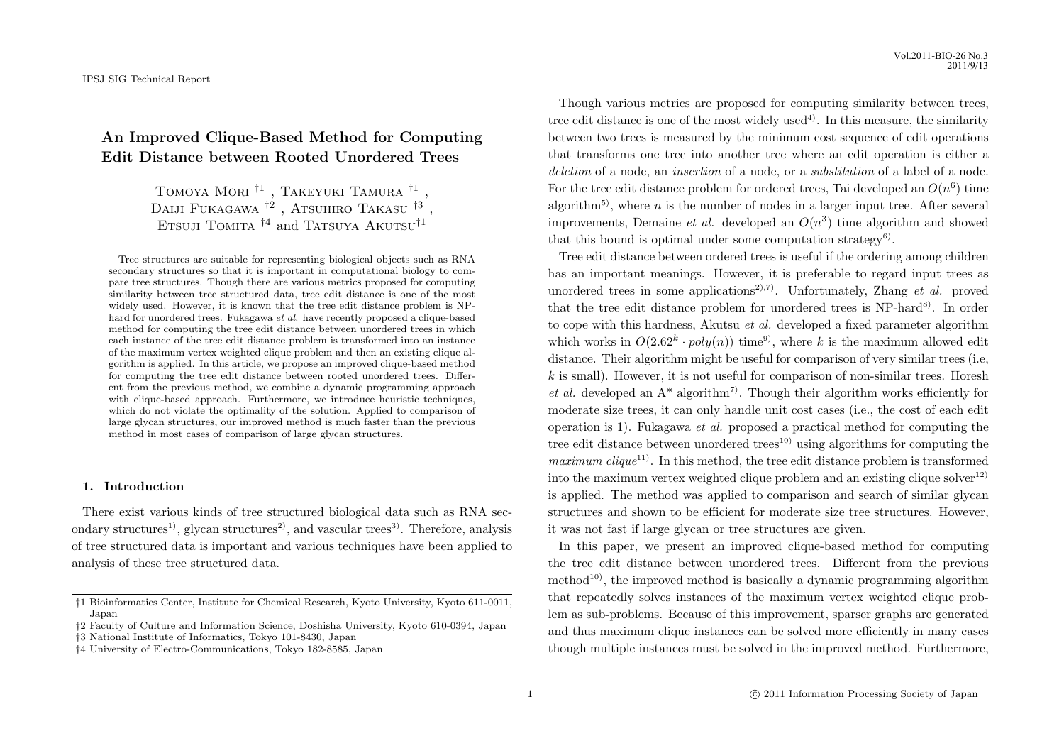# **An Improved Clique-Based Method for Computing Edit Distance between Rooted Unordered Trees**

Tomoya Mori *†*1 , Takeyuki Tamura *†*1 , Daiji Fukagawa <sup>†2</sup>, Atsuhiro Takasu <sup>†3</sup>, Etsuji Tomita *†*<sup>4</sup> and Tatsuya Akutsu*†*<sup>1</sup>

Tree structures are suitable for representing biological objects such as RNA secondary structures so that it is important in computational biology to compare tree structures. Though there are various metrics proposed for computing similarity between tree structured data, tree edit distance is one of the most widely used. However, it is known that the tree edit distance problem is NPhard for unordered trees. Fukagawa *et al.* have recently proposed a clique-based method for computing the tree edit distance between unordered trees in which each instance of the tree edit distance problem is transformed into an instance of the maximum vertex weighted clique problem and then an existing clique algorithm is applied. In this article, we propose an improved clique-based method for computing the tree edit distance between rooted unordered trees. Different from the previous method, we combine a dynamic programming approach with clique-based approach. Furthermore, we introduce heuristic techniques, which do not violate the optimality of the solution. Applied to comparison of large glycan structures, our improved method is much faster than the previous method in most cases of comparison of large glycan structures.

# **1. Introduction**

There exist various kinds of tree structured biological data such as RNA secondary structures<sup>1</sup>, glycan structures<sup>2</sup>, and vascular trees<sup>3</sup>. Therefore, analysis of tree structured data is important and various techniques have been applied to analysis of these tree structured data.

Though various metrics are proposed for computing similarity between trees, tree edit distance is one of the most widely used<sup>4)</sup>. In this measure, the similarity between two trees is measured by the minimum cost sequence of edit operations that transforms one tree into another tree where an edit operation is either a *deletion* of a node, an *insertion* of a node, or a *substitution* of a label of a node. For the tree edit distance problem for ordered trees, Tai developed an  $O(n^6)$  time algorithm<sup>5)</sup>, where  $n$  is the number of nodes in a larger input tree. After several improvements, Demaine *et al.* developed an  $O(n^3)$  time algorithm and showed that this bound is optimal under some computation strategy<sup>6</sup>.

Tree edit distance between ordered trees is useful if the ordering among children has an important meanings. However, it is preferable to regard input trees as unordered trees in some applications<sup>2),7)</sup>. Unfortunately, Zhang *et al.* proved that the tree edit distance problem for unordered trees is  $NP$ -hard<sup>8)</sup>. In order to cope with this hardness, Akutsu *et al.* developed a fixed parameter algorithm which works in  $O(2.62^k \cdot poly(n))$  time<sup>9</sup>, where *k* is the maximum allowed edit distance. Their algorithm might be useful for comparison of very similar trees (i.e, *k* is small). However, it is not useful for comparison of non-similar trees. Horesh *et al.* developed an  $A^*$  algorithm<sup>7</sup>. Though their algorithm works efficiently for moderate size trees, it can only handle unit cost cases (i.e., the cost of each edit operation is 1). Fukagawa *et al.* proposed a practical method for computing the tree edit distance between unordered trees<sup>10)</sup> using algorithms for computing the *maximum clique*<sup>11)</sup>. In this method, the tree edit distance problem is transformed into the maximum vertex weighted clique problem and an existing clique solver<sup>12)</sup> is applied. The method was applied to comparison and search of similar glycan structures and shown to be efficient for moderate size tree structures. However, it was not fast if large glycan or tree structures are given.

In this paper, we present an improved clique-based method for computing the tree edit distance between unordered trees. Different from the previous method<sup>10)</sup>, the improved method is basically a dynamic programming algorithm that repeatedly solves instances of the maximum vertex weighted clique problem as sub-problems. Because of this improvement, sparser graphs are generated and thus maximum clique instances can be solved more efficiently in many cases though multiple instances must be solved in the improved method. Furthermore,

*<sup>†</sup>*1 Bioinformatics Center, Institute for Chemical Research, Kyoto University, Kyoto 611-0011, Japan

*<sup>†</sup>*2 Faculty of Culture and Information Science, Doshisha University, Kyoto 610-0394, Japan *†*3 National Institute of Informatics, Tokyo 101-8430, Japan

*<sup>†</sup>*4 University of Electro-Communications, Tokyo 182-8585, Japan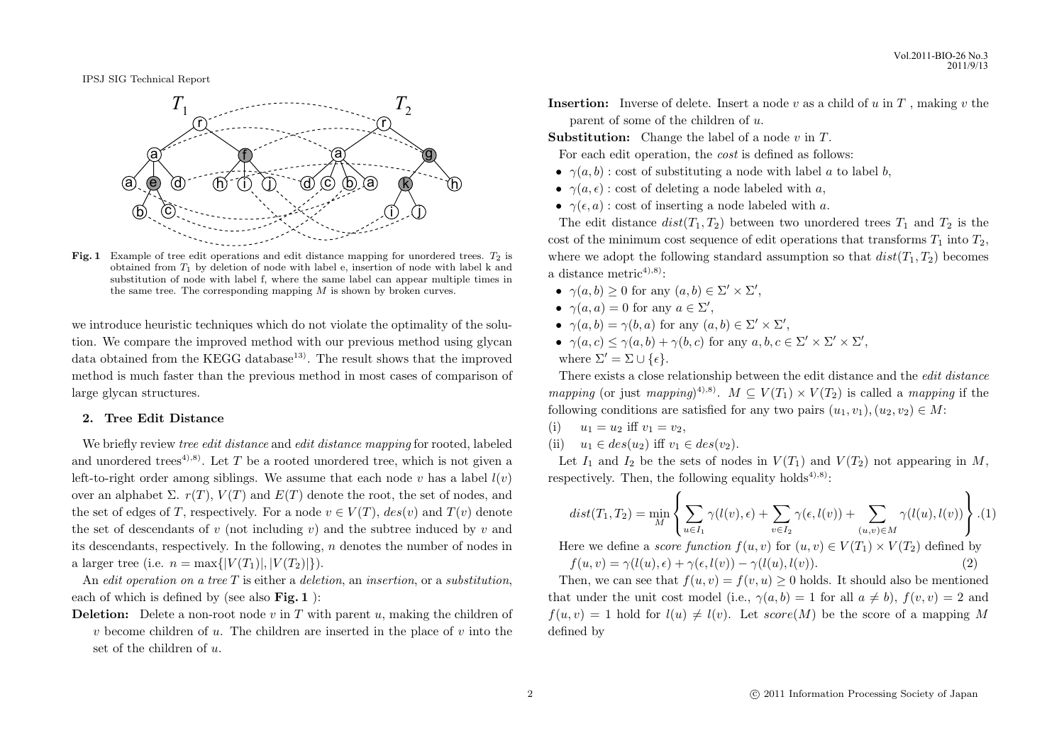

**Fig. 1** Example of tree edit operations and edit distance mapping for unordered trees. *T*<sup>2</sup> is obtained from *T*<sup>1</sup> by deletion of node with label e, insertion of node with label k and substitution of node with label f, where the same label can appear multiple times in the same tree. The corresponding mapping *M* is shown by broken curves.

we introduce heuristic techniques which do not violate the optimality of the solution. We compare the improved method with our previous method using glycan data obtained from the KEGG database<sup>13)</sup>. The result shows that the improved method is much faster than the previous method in most cases of comparison of large glycan structures.

## **2. Tree Edit Distance**

We briefly review *tree edit distance* and *edit distance mapping* for rooted, labeled and unordered trees<sup>4),8)</sup>. Let  $T$  be a rooted unordered tree, which is not given a left-to-right order among siblings. We assume that each node  $v$  has a label  $l(v)$ over an alphabet  $\Sigma$ .  $r(T)$ ,  $V(T)$  and  $E(T)$  denote the root, the set of nodes, and the set of edges of *T*, respectively. For a node  $v \in V(T)$ ,  $des(v)$  and  $T(v)$  denote the set of descendants of *v* (not including *v*) and the subtree induced by *v* and its descendants, respectively. In the following, *n* denotes the number of nodes in a larger tree (i.e.  $n = \max\{|V(T_1)|, |V(T_2)|\}$ ).

An *edit operation on a tree T* is either a *deletion*, an *insertion*, or a *substitution*, each of which is defined by (see also **Fig. 1** ):

**Deletion:** Delete a non-root node *v* in *T* with parent *u*, making the children of *v* become children of *u*. The children are inserted in the place of *v* into the set of the children of *u*.

**Insertion:** Inverse of delete. Insert a node *v* as a child of *u* in *T* , making *v* the parent of some of the children of *u*.

**Substitution:** Change the label of a node *v* in *T*.

- For each edit operation, the *cost* is defined as follows:
- $\gamma(a, b)$ : cost of substituting a node with label *a* to label *b*,
- $\gamma(a, \epsilon)$ : cost of deleting a node labeled with *a*,
- $\gamma(\epsilon, a)$ : cost of inserting a node labeled with *a*.

The edit distance  $dist(T_1, T_2)$  between two unordered trees  $T_1$  and  $T_2$  is the cost of the minimum cost sequence of edit operations that transforms  $T_1$  into  $T_2$ , where we adopt the following standard assumption so that  $dist(T_1, T_2)$  becomes a distance metric<sup>4),8)</sup>:

- $\gamma(a, b) \geq 0$  for any  $(a, b) \in \Sigma' \times \Sigma'$ ,
- $\gamma(a, a) = 0$  for any  $a \in \Sigma'$ ,
- $\gamma(a, b) = \gamma(b, a)$  for any  $(a, b) \in \Sigma' \times \Sigma'$ ,
- $\gamma(a, c) \leq \gamma(a, b) + \gamma(b, c)$  for any  $a, b, c \in \Sigma' \times \Sigma' \times \Sigma'$ , where  $\Sigma' = \Sigma \cup \{\epsilon\}.$

There exists a close relationship between the edit distance and the *edit distance mapping* (or just *mapping*<sup> $(4)$ ,8). *M*  $\subseteq$  *V*( $T_1$ )  $\times$  *V*( $T_2$ ) is called a *mapping* if the</sup> following conditions are satisfied for any two pairs  $(u_1, v_1), (u_2, v_2) \in M$ :

- (i)  $u_1 = u_2$  iff  $v_1 = v_2$ ,
- (ii)  $u_1 \in des(u_2)$  iff  $v_1 \in des(v_2)$ .

Let  $I_1$  and  $I_2$  be the sets of nodes in  $V(T_1)$  and  $V(T_2)$  not appearing in M, respectively. Then, the following equality holds<sup>4),8)</sup>:

$$
dist(T_1, T_2) = \min_{M} \left\{ \sum_{u \in I_1} \gamma(l(v), \epsilon) + \sum_{v \in I_2} \gamma(\epsilon, l(v)) + \sum_{(u,v) \in M} \gamma(l(u), l(v)) \right\} . (1)
$$

Here we define a *score function*  $f(u, v)$  for  $(u, v) \in V(T_1) \times V(T_2)$  defined by

$$
f(u,v) = \gamma(l(u), \epsilon) + \gamma(\epsilon, l(v)) - \gamma(l(u), l(v)).
$$
\n(2)

Then, we can see that  $f(u, v) = f(v, u) > 0$  holds. It should also be mentioned that under the unit cost model (i.e.,  $\gamma(a, b) = 1$  for all  $a \neq b$ ),  $f(v, v) = 2$  and  $f(u, v) = 1$  hold for  $l(u) \neq l(v)$ . Let *score*(*M*) be the score of a mapping *M* defined by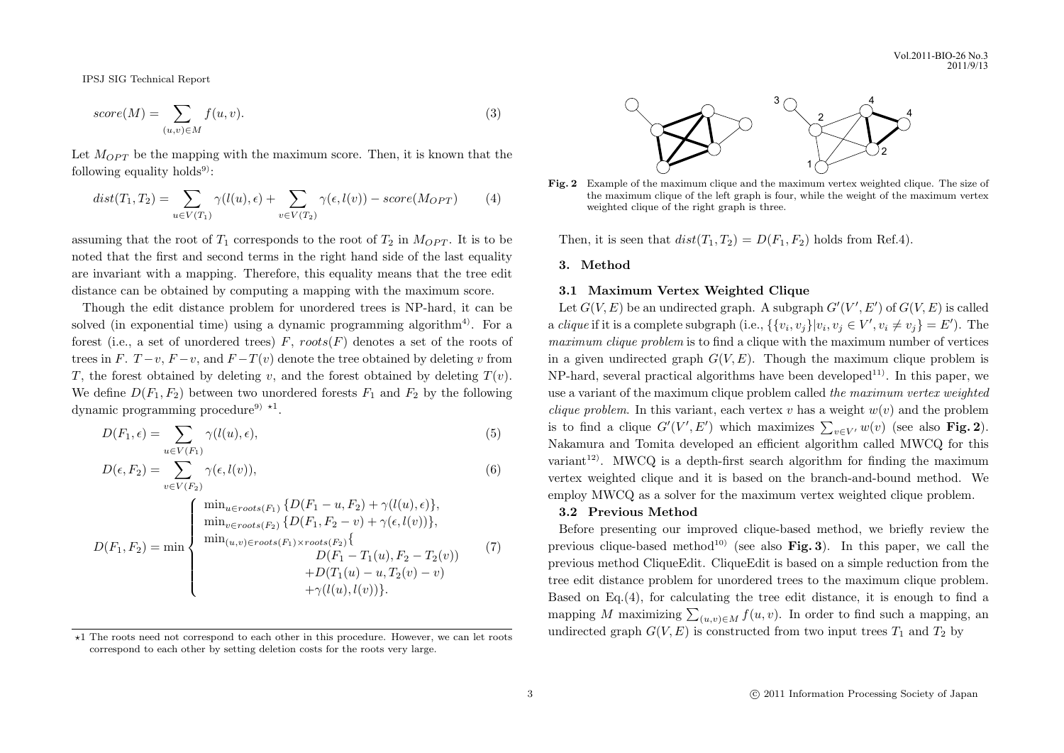$$
score(M) = \sum_{(u,v)\in M} f(u,v).
$$
\n(3)

Let  $M_{OPT}$  be the mapping with the maximum score. Then, it is known that the following equality holds<sup>9)</sup>:

$$
dist(T_1, T_2) = \sum_{u \in V(T_1)} \gamma(l(u), \epsilon) + \sum_{v \in V(T_2)} \gamma(\epsilon, l(v)) - score(M_{OPT}) \tag{4}
$$

assuming that the root of  $T_1$  corresponds to the root of  $T_2$  in  $M_{OPT}$ . It is to be noted that the first and second terms in the right hand side of the last equality are invariant with a mapping. Therefore, this equality means that the tree edit distance can be obtained by computing a mapping with the maximum score.

Though the edit distance problem for unordered trees is NP-hard, it can be solved (in exponential time) using a dynamic programming algorithm<sup>4)</sup>. For a forest (i.e., a set of unordered trees) *F*, *roots*(*F*) denotes a set of the roots of trees in *F*. *T* −*v*, *F* −*v*, and *F* −*T*(*v*) denote the tree obtained by deleting *v* from *T*, the forest obtained by deleting *v*, and the forest obtained by deleting  $T(v)$ . We define  $D(F_1, F_2)$  between two unordered forests  $F_1$  and  $F_2$  by the following dynamic programming procedure<sup>9)</sup> <sup>\*1</sup>.

$$
D(F_1, \epsilon) = \sum_{u \in V(F_1)} \gamma(l(u), \epsilon), \tag{5}
$$

$$
D(\epsilon, F_2) = \sum_{v \in V(F_2)} \gamma(\epsilon, l(v)),\tag{6}
$$

$$
D(F_1, F_2) = \min \begin{cases} \min_{u \in roots(F_1)} \{D(F_1 - u, F_2) + \gamma(l(u), \epsilon)\}, \\ \min_{v \in roots(F_2)} \{D(F_1, F_2 - v) + \gamma(\epsilon, l(v))\}, \\ \min_{(u,v) \in roots(F_1) \times roots(F_2)} \{L(F_1 - T_1(u), F_2 - T_2(v)) + D(T_1(u) - u, T_2(v) - v) + \gamma(l(u), l(v))\}. \end{cases}
$$
(7)



**Fig. 2** Example of the maximum clique and the maximum vertex weighted clique. The size of the maximum clique of the left graph is four, while the weight of the maximum vertex weighted clique of the right graph is three.

Then, it is seen that  $dist(T_1, T_2) = D(F_1, F_2)$  holds from Ref.4).

## **3. Method**

#### **3.1 Maximum Vertex Weighted Clique**

Let  $G(V, E)$  be an undirected graph. A subgraph  $G'(V', E')$  of  $G(V, E)$  is called a *clique* if it is a complete subgraph (i.e.,  $\{\{v_i, v_j\}|v_i, v_j \in V', v_i \neq v_j\} = E'$ ). The *maximum clique problem* is to find a clique with the maximum number of vertices in a given undirected graph  $G(V, E)$ . Though the maximum clique problem is  $NP$ -hard, several practical algorithms have been developed<sup>11)</sup>. In this paper, we use a variant of the maximum clique problem called *the maximum vertex weighted clique problem*. In this variant, each vertex  $v$  has a weight  $w(v)$  and the problem is to find a clique  $G'(V', E')$  which maximizes  $\sum_{v \in V'} w(v)$  (see also **Fig. 2**). Nakamura and Tomita developed an efficient algorithm called MWCQ for this variant<sup>12)</sup>. MWCQ is a depth-first search algorithm for finding the maximum vertex weighted clique and it is based on the branch-and-bound method. We employ MWCQ as a solver for the maximum vertex weighted clique problem.

#### **3.2 Previous Method**

Before presenting our improved clique-based method, we briefly review the previous clique-based method<sup>10)</sup> (see also **Fig. 3**). In this paper, we call the previous method CliqueEdit. CliqueEdit is based on a simple reduction from the tree edit distance problem for unordered trees to the maximum clique problem. Based on Eq.(4), for calculating the tree edit distance, it is enough to find a mapping *M* maximizing  $\sum_{(u,v)\in M} f(u,v)$ . In order to find such a mapping, an undirected graph  $G(V, E)$  is constructed from two input trees  $T_1$  and  $T_2$  by

*<sup>⋆</sup>*1 The roots need not correspond to each other in this procedure. However, we can let roots correspond to each other by setting deletion costs for the roots very large.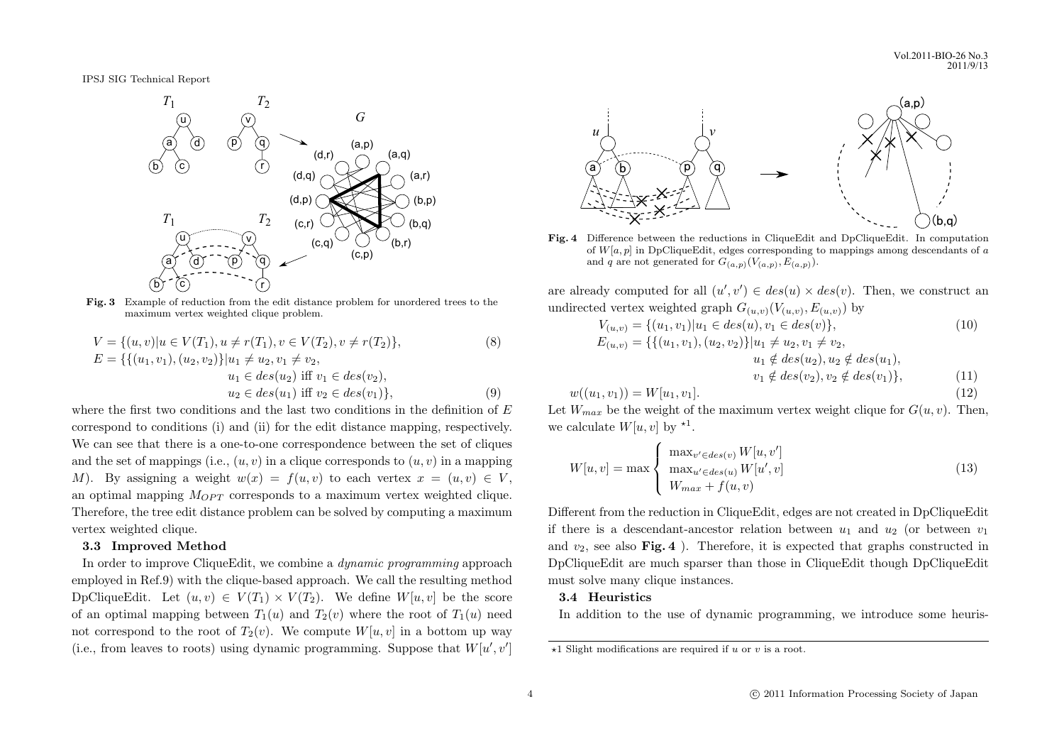

**Fig. 3** Example of reduction from the edit distance problem for unordered trees to the maximum vertex weighted clique problem.

$$
V = \{(u, v) | u \in V(T_1), u \neq r(T_1), v \in V(T_2), v \neq r(T_2)\},
$$
\n
$$
E = \{\{(u_1, v_1), (u_2, v_2)\} | u_1 \neq u_2, v_1 \neq v_2,
$$
\n
$$
u_1 \in des(u_2) \text{ iff } v_1 \in des(v_2),
$$
\n
$$
u_2 \in des(u_1) \text{ iff } v_2 \in des(v_1)\},
$$
\n(9)

where the first two conditions and the last two conditions in the definition of *E* correspond to conditions (i) and (ii) for the edit distance mapping, respectively. We can see that there is a one-to-one correspondence between the set of cliques and the set of mappings (i.e.,  $(u, v)$  in a clique corresponds to  $(u, v)$  in a mapping *M*). By assigning a weight  $w(x) = f(u, v)$  to each vertex  $x = (u, v) \in V$ , an optimal mapping  $M_{OPT}$  corresponds to a maximum vertex weighted clique. Therefore, the tree edit distance problem can be solved by computing a maximum vertex weighted clique.

#### **3.3 Improved Method**

In order to improve CliqueEdit, we combine a *dynamic programming* approach employed in Ref.9) with the clique-based approach. We call the resulting method DpCliqueEdit. Let  $(u, v) \in V(T_1) \times V(T_2)$ . We define  $W[u, v]$  be the score of an optimal mapping between  $T_1(u)$  and  $T_2(v)$  where the root of  $T_1(u)$  need not correspond to the root of  $T_2(v)$ . We compute  $W[u, v]$  in a bottom up way (i.e., from leaves to roots) using dynamic programming. Suppose that  $W[u', v']$ 



**Fig. 4** Difference between the reductions in CliqueEdit and DpCliqueEdit. In computation of *W*[*a, p*] in DpCliqueEdit, edges corresponding to mappings among descendants of *a* and *q* are not generated for  $G_{(a,p)}(V_{(a,p)}, E_{(a,p)})$ .

are already computed for all  $(u', v') \in des(u) \times des(v)$ . Then, we construct an undirected vertex weighted graph  $G_{(u,v)}(V_{(u,v)}, E_{(u,v)})$  by

$$
V_{(u,v)} = \{(u_1, v_1)|u_1 \in des(u), v_1 \in des(v)\},
$$
  
\n
$$
E_{(u,v)} = \{\{(u_1, v_1), (u_2, v_2)\}|u_1 \neq u_2, v_1 \neq v_2,
$$
  
\n
$$
u_1 \notin des(u_2), u_2 \notin des(u_1),
$$
  
\n
$$
v_1 \notin des(v_2), v_2 \notin des(v_1)\},
$$
  
\n(11)

$$
w((u_1, v_1)) = W[u_1, v_1].
$$
\n(12)

Let  $W_{max}$  be the weight of the maximum vertex weight clique for  $G(u, v)$ . Then, we calculate  $W[u, v]$  by  $*^1$ .

$$
W[u, v] = \max \begin{cases} \max_{v' \in des(v)} W[u, v'] \\ \max_{u' \in des(u)} W[u', v] \\ W_{max} + f(u, v) \end{cases}
$$
(13)

Different from the reduction in CliqueEdit, edges are not created in DpCliqueEdit if there is a descendant-ancestor relation between  $u_1$  and  $u_2$  (or between  $v_1$ ) and  $v_2$ , see also **Fig. 4**). Therefore, it is expected that graphs constructed in DpCliqueEdit are much sparser than those in CliqueEdit though DpCliqueEdit must solve many clique instances.

## **3.4 Heuristics**

In addition to the use of dynamic programming, we introduce some heuris-

*<sup>⋆</sup>*1 Slight modifications are required if *u* or *v* is a root.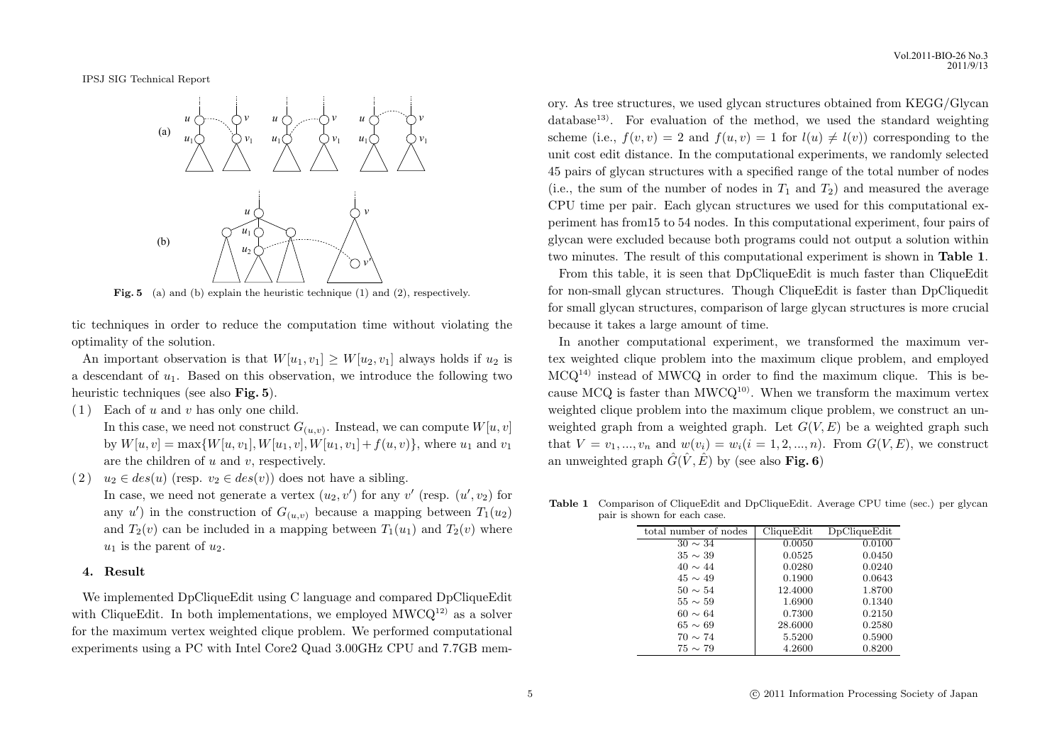

Fig. 5 (a) and (b) explain the heuristic technique (1) and (2), respectively.

tic techniques in order to reduce the computation time without violating the optimality of the solution.

An important observation is that  $W[u_1, v_1] \geq W[u_2, v_1]$  always holds if  $u_2$  is a descendant of *u*1. Based on this observation, we introduce the following two heuristic techniques (see also **Fig. 5**).

( 1 ) Each of *u* and *v* has only one child.

In this case, we need not construct  $G_{(u,v)}$ . Instead, we can compute  $W[u,v]$ by  $W[u, v] = \max\{W[u, v_1], W[u_1, v], W[u_1, v_1] + f(u, v)\}$ , where  $u_1$  and  $v_1$ are the children of *u* and *v*, respectively.

(2)  $u_2 \in des(u)$  (resp.  $v_2 \in des(v)$ ) does not have a sibling. In case, we need not generate a vertex  $(u_2, v')$  for any  $v'$  (resp.  $(u', v_2)$  for any  $u'$ ) in the construction of  $G_{(u,v)}$  because a mapping between  $T_1(u_2)$ and  $T_2(v)$  can be included in a mapping between  $T_1(u_1)$  and  $T_2(v)$  where  $u_1$  is the parent of  $u_2$ .

#### **4. Result**

We implemented DpCliqueEdit using C language and compared DpCliqueEdit with CliqueEdit. In both implementations, we employed  $MWCQ^{12}$  as a solver for the maximum vertex weighted clique problem. We performed computational experiments using a PC with Intel Core2 Quad 3.00GHz CPU and 7.7GB memory. As tree structures, we used glycan structures obtained from KEGG/Glycan database<sup>13)</sup>. For evaluation of the method, we used the standard weighting scheme (i.e.,  $f(v, v) = 2$  and  $f(u, v) = 1$  for  $l(u) \neq l(v)$ ) corresponding to the unit cost edit distance. In the computational experiments, we randomly selected 45 pairs of glycan structures with a specified range of the total number of nodes (i.e., the sum of the number of nodes in  $T_1$  and  $T_2$ ) and measured the average CPU time per pair. Each glycan structures we used for this computational experiment has from15 to 54 nodes. In this computational experiment, four pairs of glycan were excluded because both programs could not output a solution within two minutes. The result of this computational experiment is shown in **Table 1**.

From this table, it is seen that DpCliqueEdit is much faster than CliqueEdit for non-small glycan structures. Though CliqueEdit is faster than DpCliquedit for small glycan structures, comparison of large glycan structures is more crucial because it takes a large amount of time.

In another computational experiment, we transformed the maximum vertex weighted clique problem into the maximum clique problem, and employed  $MCl<sup>14</sup>$  instead of MWCQ in order to find the maximum clique. This is because MCQ is faster than MWCQ<sup>10)</sup>. When we transform the maximum vertex weighted clique problem into the maximum clique problem, we construct an unweighted graph from a weighted graph. Let  $G(V, E)$  be a weighted graph such that  $V = v_1, ..., v_n$  and  $w(v_i) = w_i (i = 1, 2, ..., n)$ . From  $G(V, E)$ , we construct an unweighted graph  $\hat{G}(\hat{V}, \hat{E})$  by (see also **Fig. 6**)

| total number of nodes | CliqueEdit | DpCliqueEdit |
|-----------------------|------------|--------------|
| $30 \sim 34$          | 0.0050     | 0.0100       |
| $35 \sim 39$          | 0.0525     | 0.0450       |
| $40 \sim 44$          | 0.0280     | 0.0240       |
| $45 \sim 49$          | 0.1900     | 0.0643       |
| $50 \sim 54$          | 12.4000    | 1.8700       |
| $55 \sim 59$          | 1.6900     | 0.1340       |
| $60 \sim 64$          | 0.7300     | 0.2150       |
| $65 \sim 69$          | 28.6000    | 0.2580       |
| $70 \sim 74$          | 5.5200     | 0.5900       |
| $75 \sim 79$          | 4.2600     | 0.8200       |
|                       |            |              |

**Table 1** Comparison of CliqueEdit and DpCliqueEdit. Average CPU time (sec.) per glycan pair is shown for each case.